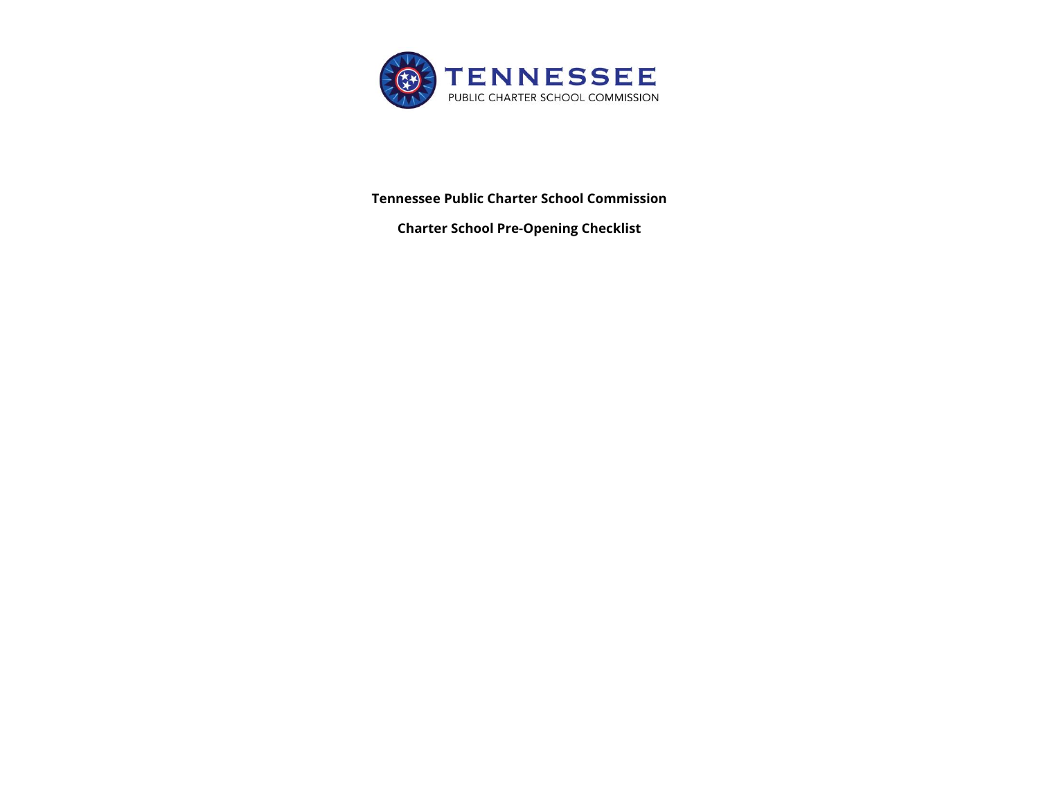

**Tennessee Public Charter School Commission** 

**Charter School Pre-Opening Checklist**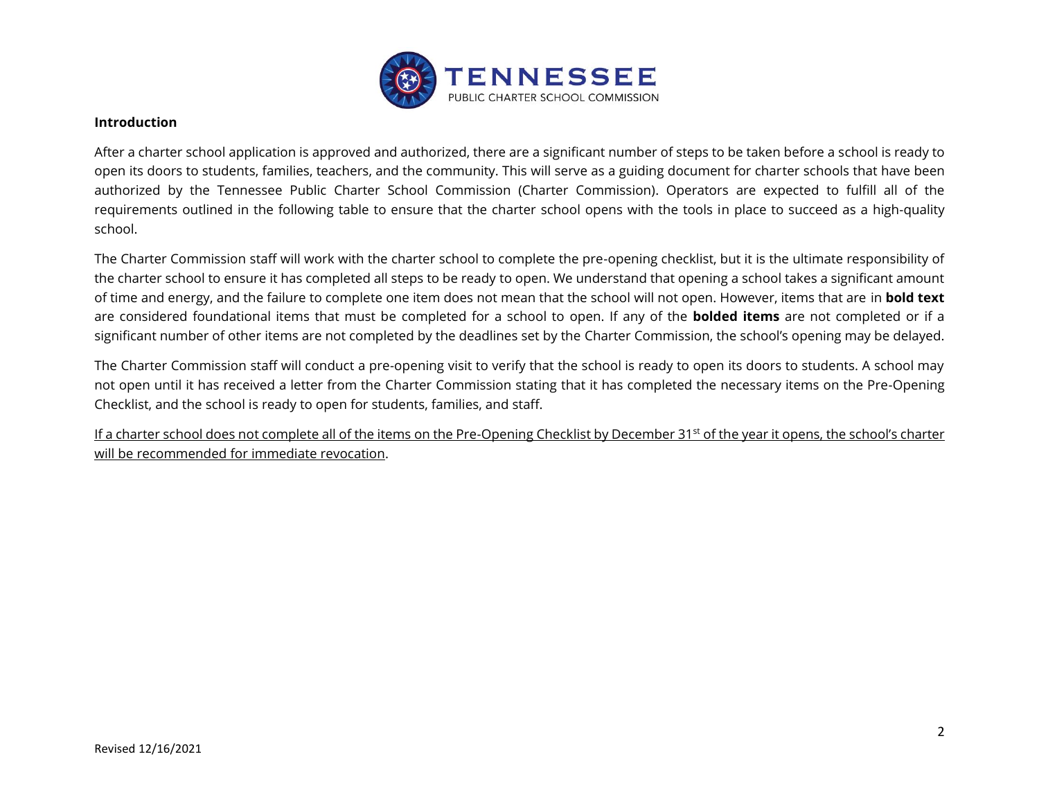

#### **Introduction**

After a charter school application is approved and authorized, there are a significant number of steps to be taken before a school is ready to open its doors to students, families, teachers, and the community. This will serve as a guiding document for charter schools that have been authorized by the Tennessee Public Charter School Commission (Charter Commission). Operators are expected to fulfill all of the requirements outlined in the following table to ensure that the charter school opens with the tools in place to succeed as a high-quality school.

The Charter Commission staff will work with the charter school to complete the pre-opening checklist, but it is the ultimate responsibility of the charter school to ensure it has completed all steps to be ready to open. We understand that opening a school takes a significant amount of time and energy, and the failure to complete one item does not mean that the school will not open. However, items that are in **bold text** are considered foundational items that must be completed for a school to open. If any of the **bolded items** are not completed or if a significant number of other items are not completed by the deadlines set by the Charter Commission, the school's opening may be delayed.

The Charter Commission staff will conduct a pre-opening visit to verify that the school is ready to open its doors to students. A school may not open until it has received a letter from the Charter Commission stating that it has completed the necessary items on the Pre-Opening Checklist, and the school is ready to open for students, families, and staff.

If a charter school does not complete all of the items on the Pre-Opening Checklist by December 31<sup>st</sup> of the year it opens, the school's charter will be recommended for immediate revocation.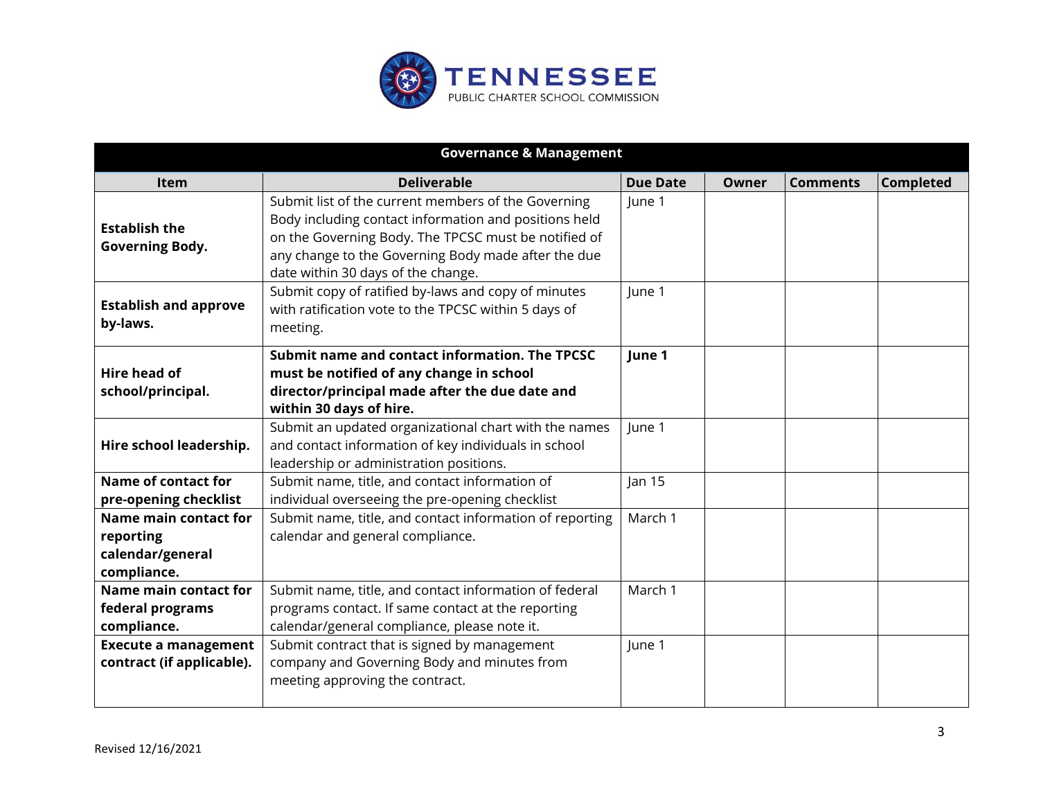

| <b>Governance &amp; Management</b>                                    |                                                                                                                                                                                                                                                                   |                 |       |                 |                  |
|-----------------------------------------------------------------------|-------------------------------------------------------------------------------------------------------------------------------------------------------------------------------------------------------------------------------------------------------------------|-----------------|-------|-----------------|------------------|
| Item                                                                  | <b>Deliverable</b>                                                                                                                                                                                                                                                | <b>Due Date</b> | Owner | <b>Comments</b> | <b>Completed</b> |
| <b>Establish the</b><br><b>Governing Body.</b>                        | Submit list of the current members of the Governing<br>Body including contact information and positions held<br>on the Governing Body. The TPCSC must be notified of<br>any change to the Governing Body made after the due<br>date within 30 days of the change. | June 1          |       |                 |                  |
| <b>Establish and approve</b><br>by-laws.                              | Submit copy of ratified by-laws and copy of minutes<br>with ratification vote to the TPCSC within 5 days of<br>meeting.                                                                                                                                           | June 1          |       |                 |                  |
| Hire head of<br>school/principal.                                     | Submit name and contact information. The TPCSC<br>must be notified of any change in school<br>director/principal made after the due date and<br>within 30 days of hire.                                                                                           | June 1          |       |                 |                  |
| Hire school leadership.                                               | Submit an updated organizational chart with the names<br>and contact information of key individuals in school<br>leadership or administration positions.                                                                                                          | June 1          |       |                 |                  |
| <b>Name of contact for</b><br>pre-opening checklist                   | Submit name, title, and contact information of<br>individual overseeing the pre-opening checklist                                                                                                                                                                 | Jan $15$        |       |                 |                  |
| Name main contact for<br>reporting<br>calendar/general<br>compliance. | Submit name, title, and contact information of reporting<br>calendar and general compliance.                                                                                                                                                                      | March 1         |       |                 |                  |
| Name main contact for<br>federal programs<br>compliance.              | Submit name, title, and contact information of federal<br>programs contact. If same contact at the reporting<br>calendar/general compliance, please note it.                                                                                                      | March 1         |       |                 |                  |
| <b>Execute a management</b><br>contract (if applicable).              | Submit contract that is signed by management<br>company and Governing Body and minutes from<br>meeting approving the contract.                                                                                                                                    | June 1          |       |                 |                  |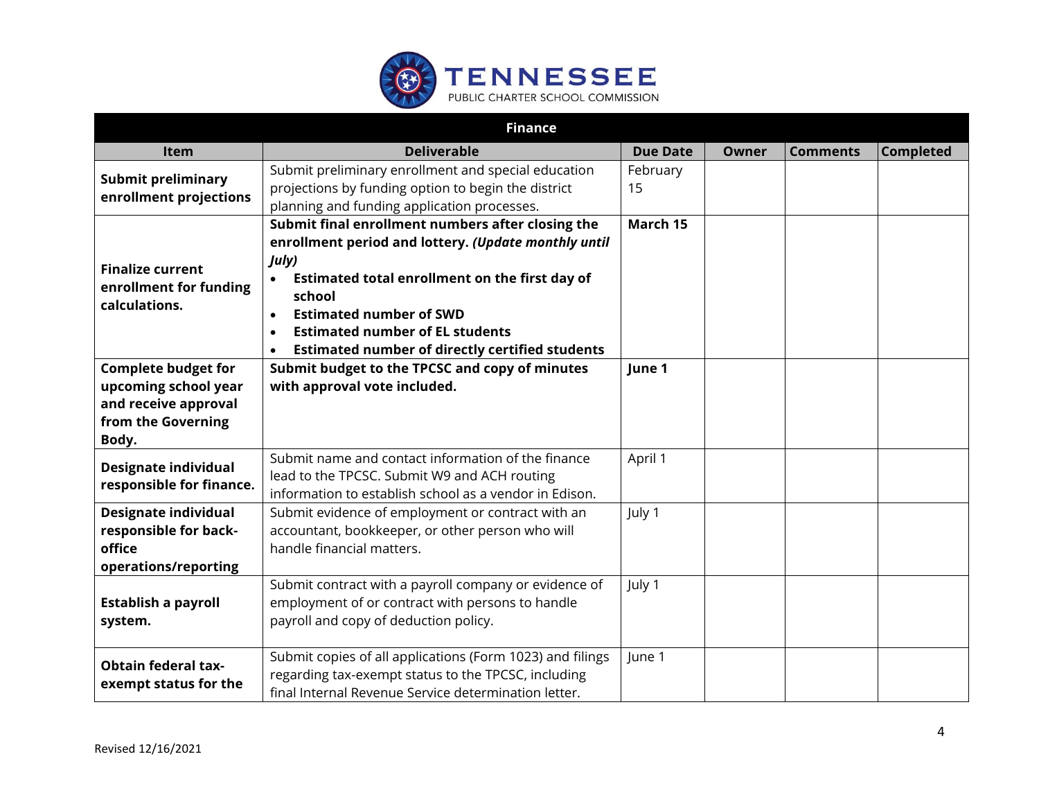

|                                                                                                           | <b>Finance</b>                                                                                                                                                                                                                                                                                                                                              |                 |              |                 |                  |
|-----------------------------------------------------------------------------------------------------------|-------------------------------------------------------------------------------------------------------------------------------------------------------------------------------------------------------------------------------------------------------------------------------------------------------------------------------------------------------------|-----------------|--------------|-----------------|------------------|
| Item                                                                                                      | <b>Deliverable</b>                                                                                                                                                                                                                                                                                                                                          | <b>Due Date</b> | <b>Owner</b> | <b>Comments</b> | <b>Completed</b> |
| <b>Submit preliminary</b><br>enrollment projections                                                       | Submit preliminary enrollment and special education<br>projections by funding option to begin the district<br>planning and funding application processes.                                                                                                                                                                                                   | February<br>15  |              |                 |                  |
| <b>Finalize current</b><br>enrollment for funding<br>calculations.                                        | Submit final enrollment numbers after closing the<br>enrollment period and lottery. (Update monthly until<br>July)<br>Estimated total enrollment on the first day of<br>school<br><b>Estimated number of SWD</b><br>$\bullet$<br><b>Estimated number of EL students</b><br>$\bullet$<br><b>Estimated number of directly certified students</b><br>$\bullet$ | March 15        |              |                 |                  |
| <b>Complete budget for</b><br>upcoming school year<br>and receive approval<br>from the Governing<br>Body. | Submit budget to the TPCSC and copy of minutes<br>with approval vote included.                                                                                                                                                                                                                                                                              | June 1          |              |                 |                  |
| <b>Designate individual</b><br>responsible for finance.                                                   | Submit name and contact information of the finance<br>lead to the TPCSC. Submit W9 and ACH routing<br>information to establish school as a vendor in Edison.                                                                                                                                                                                                | April 1         |              |                 |                  |
| <b>Designate individual</b><br>responsible for back-<br>office<br>operations/reporting                    | Submit evidence of employment or contract with an<br>accountant, bookkeeper, or other person who will<br>handle financial matters.                                                                                                                                                                                                                          | July 1          |              |                 |                  |
| <b>Establish a payroll</b><br>system.                                                                     | Submit contract with a payroll company or evidence of<br>employment of or contract with persons to handle<br>payroll and copy of deduction policy.                                                                                                                                                                                                          | July 1          |              |                 |                  |
| <b>Obtain federal tax-</b><br>exempt status for the                                                       | Submit copies of all applications (Form 1023) and filings<br>regarding tax-exempt status to the TPCSC, including<br>final Internal Revenue Service determination letter.                                                                                                                                                                                    | June 1          |              |                 |                  |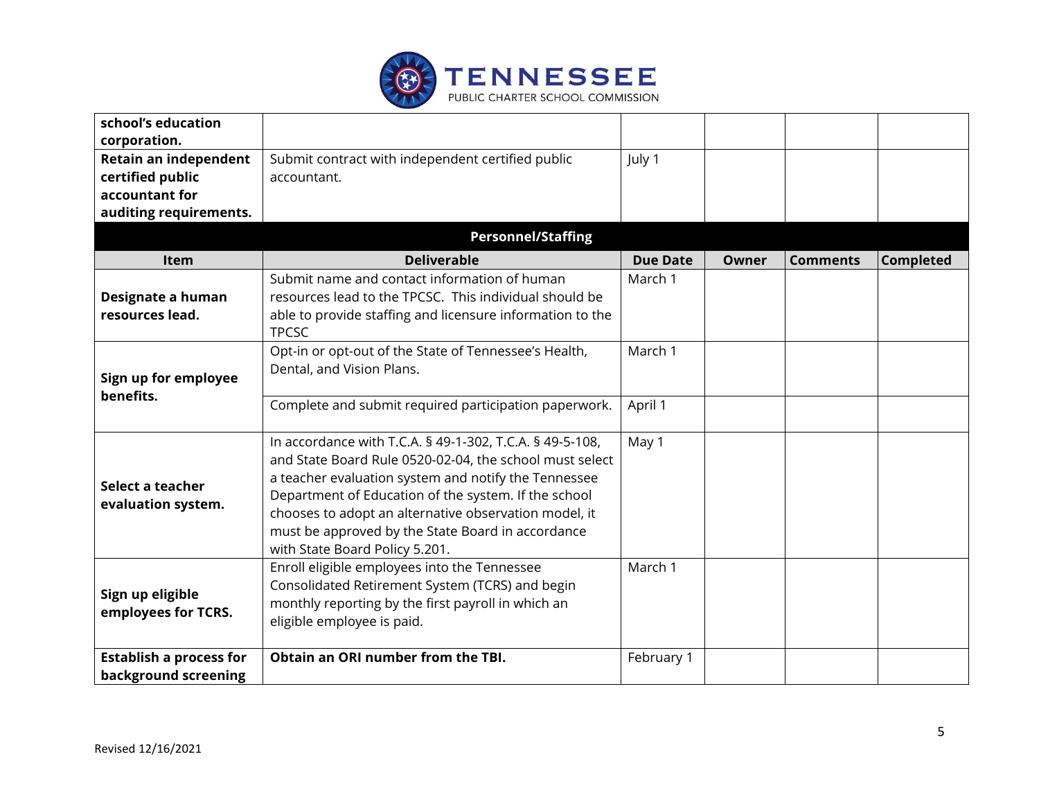

| school's education             |                                                                                     |                 |       |                 |                  |
|--------------------------------|-------------------------------------------------------------------------------------|-----------------|-------|-----------------|------------------|
| corporation.                   |                                                                                     |                 |       |                 |                  |
| Retain an independent          | Submit contract with independent certified public                                   | July 1          |       |                 |                  |
| certified public               | accountant.                                                                         |                 |       |                 |                  |
| accountant for                 |                                                                                     |                 |       |                 |                  |
| auditing requirements.         |                                                                                     |                 |       |                 |                  |
|                                | <b>Personnel/Staffing</b>                                                           |                 |       |                 |                  |
| <b>Item</b>                    | <b>Deliverable</b>                                                                  | <b>Due Date</b> | Owner | <b>Comments</b> | <b>Completed</b> |
|                                | Submit name and contact information of human                                        | March 1         |       |                 |                  |
| Designate a human              | resources lead to the TPCSC. This individual should be                              |                 |       |                 |                  |
| resources lead.                | able to provide staffing and licensure information to the                           |                 |       |                 |                  |
|                                | <b>TPCSC</b>                                                                        |                 |       |                 |                  |
|                                | Opt-in or opt-out of the State of Tennessee's Health,                               | March 1         |       |                 |                  |
| Sign up for employee           | Dental, and Vision Plans.                                                           |                 |       |                 |                  |
| benefits.                      |                                                                                     |                 |       |                 |                  |
|                                | Complete and submit required participation paperwork.                               | April 1         |       |                 |                  |
|                                |                                                                                     |                 |       |                 |                  |
|                                | In accordance with T.C.A. § 49-1-302, T.C.A. § 49-5-108,                            | May 1           |       |                 |                  |
|                                | and State Board Rule 0520-02-04, the school must select                             |                 |       |                 |                  |
| Select a teacher               | a teacher evaluation system and notify the Tennessee                                |                 |       |                 |                  |
| evaluation system.             | Department of Education of the system. If the school                                |                 |       |                 |                  |
|                                | chooses to adopt an alternative observation model, it                               |                 |       |                 |                  |
|                                | must be approved by the State Board in accordance<br>with State Board Policy 5.201. |                 |       |                 |                  |
|                                | Enroll eligible employees into the Tennessee                                        | March 1         |       |                 |                  |
|                                | Consolidated Retirement System (TCRS) and begin                                     |                 |       |                 |                  |
| Sign up eligible               | monthly reporting by the first payroll in which an                                  |                 |       |                 |                  |
| employees for TCRS.            | eligible employee is paid.                                                          |                 |       |                 |                  |
|                                |                                                                                     |                 |       |                 |                  |
| <b>Establish a process for</b> | Obtain an ORI number from the TBI.                                                  | February 1      |       |                 |                  |
| background screening           |                                                                                     |                 |       |                 |                  |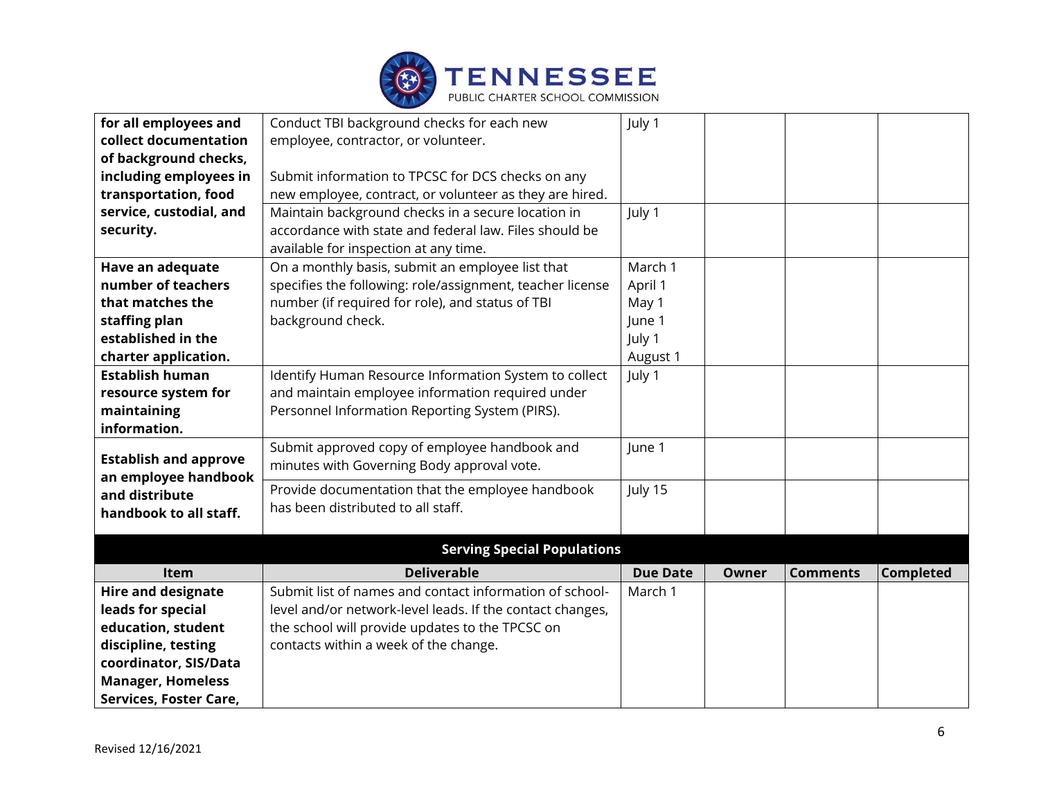

| for all employees and        | Conduct TBI background checks for each new                | July 1          |       |                 |                  |
|------------------------------|-----------------------------------------------------------|-----------------|-------|-----------------|------------------|
| collect documentation        | employee, contractor, or volunteer.                       |                 |       |                 |                  |
| of background checks,        |                                                           |                 |       |                 |                  |
| including employees in       | Submit information to TPCSC for DCS checks on any         |                 |       |                 |                  |
| transportation, food         | new employee, contract, or volunteer as they are hired.   |                 |       |                 |                  |
| service, custodial, and      | Maintain background checks in a secure location in        | July 1          |       |                 |                  |
| security.                    | accordance with state and federal law. Files should be    |                 |       |                 |                  |
|                              | available for inspection at any time.                     |                 |       |                 |                  |
| Have an adequate             | On a monthly basis, submit an employee list that          | March 1         |       |                 |                  |
| number of teachers           | specifies the following: role/assignment, teacher license | April 1         |       |                 |                  |
| that matches the             | number (if required for role), and status of TBI          | May 1           |       |                 |                  |
| staffing plan                | background check.                                         | June 1          |       |                 |                  |
| established in the           |                                                           | July 1          |       |                 |                  |
| charter application.         |                                                           | August 1        |       |                 |                  |
| <b>Establish human</b>       | Identify Human Resource Information System to collect     | July 1          |       |                 |                  |
| resource system for          | and maintain employee information required under          |                 |       |                 |                  |
| maintaining                  | Personnel Information Reporting System (PIRS).            |                 |       |                 |                  |
| information.                 |                                                           |                 |       |                 |                  |
| <b>Establish and approve</b> | Submit approved copy of employee handbook and             | June 1          |       |                 |                  |
| an employee handbook         | minutes with Governing Body approval vote.                |                 |       |                 |                  |
| and distribute               | Provide documentation that the employee handbook          | July 15         |       |                 |                  |
| handbook to all staff.       | has been distributed to all staff.                        |                 |       |                 |                  |
|                              |                                                           |                 |       |                 |                  |
|                              | <b>Serving Special Populations</b>                        |                 |       |                 |                  |
| Item                         | <b>Deliverable</b>                                        | <b>Due Date</b> | Owner | <b>Comments</b> | <b>Completed</b> |
| <b>Hire and designate</b>    | Submit list of names and contact information of school-   | March 1         |       |                 |                  |
| leads for special            | level and/or network-level leads. If the contact changes, |                 |       |                 |                  |
| education, student           | the school will provide updates to the TPCSC on           |                 |       |                 |                  |
| discipline, testing          | contacts within a week of the change.                     |                 |       |                 |                  |
| coordinator, SIS/Data        |                                                           |                 |       |                 |                  |
| <b>Manager, Homeless</b>     |                                                           |                 |       |                 |                  |
| Services, Foster Care,       |                                                           |                 |       |                 |                  |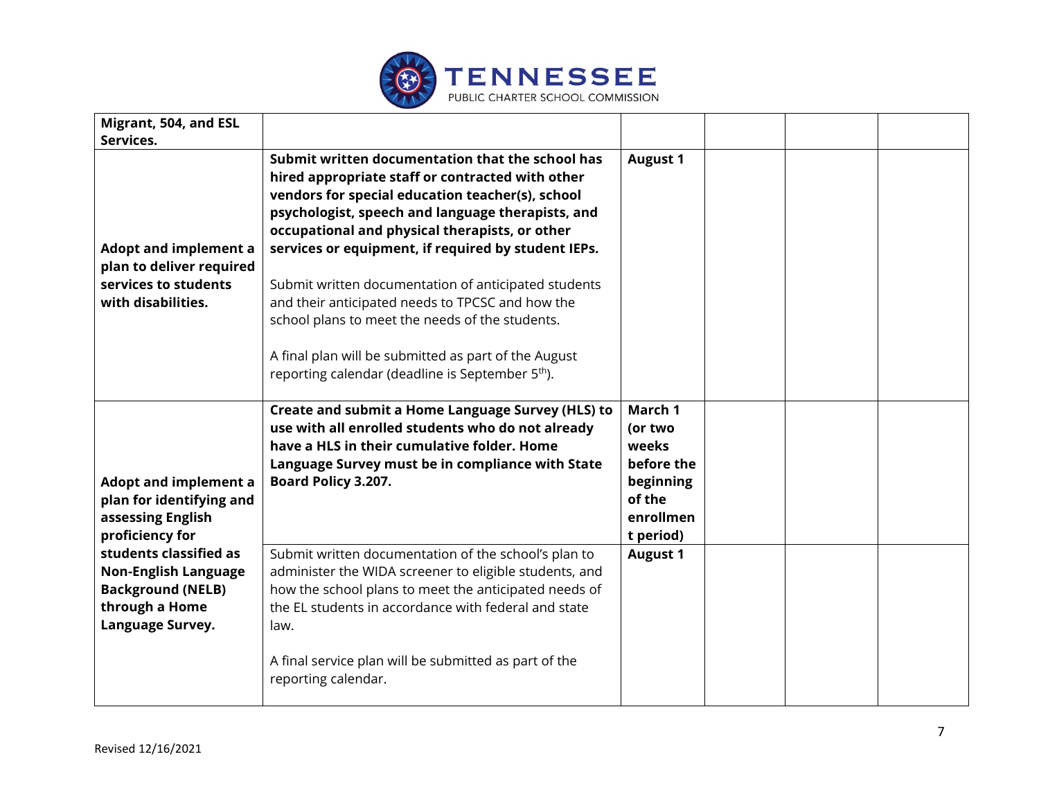

| Migrant, 504, and ESL                                                                                                   |                                                                                                                                                                                                                                                                                                                                                                                                                                                                                                                                                                                                               |                                                                                            |  |  |
|-------------------------------------------------------------------------------------------------------------------------|---------------------------------------------------------------------------------------------------------------------------------------------------------------------------------------------------------------------------------------------------------------------------------------------------------------------------------------------------------------------------------------------------------------------------------------------------------------------------------------------------------------------------------------------------------------------------------------------------------------|--------------------------------------------------------------------------------------------|--|--|
| Services.                                                                                                               |                                                                                                                                                                                                                                                                                                                                                                                                                                                                                                                                                                                                               |                                                                                            |  |  |
| <b>Adopt and implement a</b><br>plan to deliver required<br>services to students<br>with disabilities.                  | Submit written documentation that the school has<br>hired appropriate staff or contracted with other<br>vendors for special education teacher(s), school<br>psychologist, speech and language therapists, and<br>occupational and physical therapists, or other<br>services or equipment, if required by student IEPs.<br>Submit written documentation of anticipated students<br>and their anticipated needs to TPCSC and how the<br>school plans to meet the needs of the students.<br>A final plan will be submitted as part of the August<br>reporting calendar (deadline is September 5 <sup>th</sup> ). | <b>August 1</b>                                                                            |  |  |
| <b>Adopt and implement a</b><br>plan for identifying and<br>assessing English<br>proficiency for                        | Create and submit a Home Language Survey (HLS) to<br>use with all enrolled students who do not already<br>have a HLS in their cumulative folder. Home<br>Language Survey must be in compliance with State<br>Board Policy 3.207.                                                                                                                                                                                                                                                                                                                                                                              | March 1<br>(or two<br>weeks<br>before the<br>beginning<br>of the<br>enrollmen<br>t period) |  |  |
| students classified as<br><b>Non-English Language</b><br><b>Background (NELB)</b><br>through a Home<br>Language Survey. | Submit written documentation of the school's plan to<br>administer the WIDA screener to eligible students, and<br>how the school plans to meet the anticipated needs of<br>the EL students in accordance with federal and state<br>law.<br>A final service plan will be submitted as part of the<br>reporting calendar.                                                                                                                                                                                                                                                                                       | <b>August 1</b>                                                                            |  |  |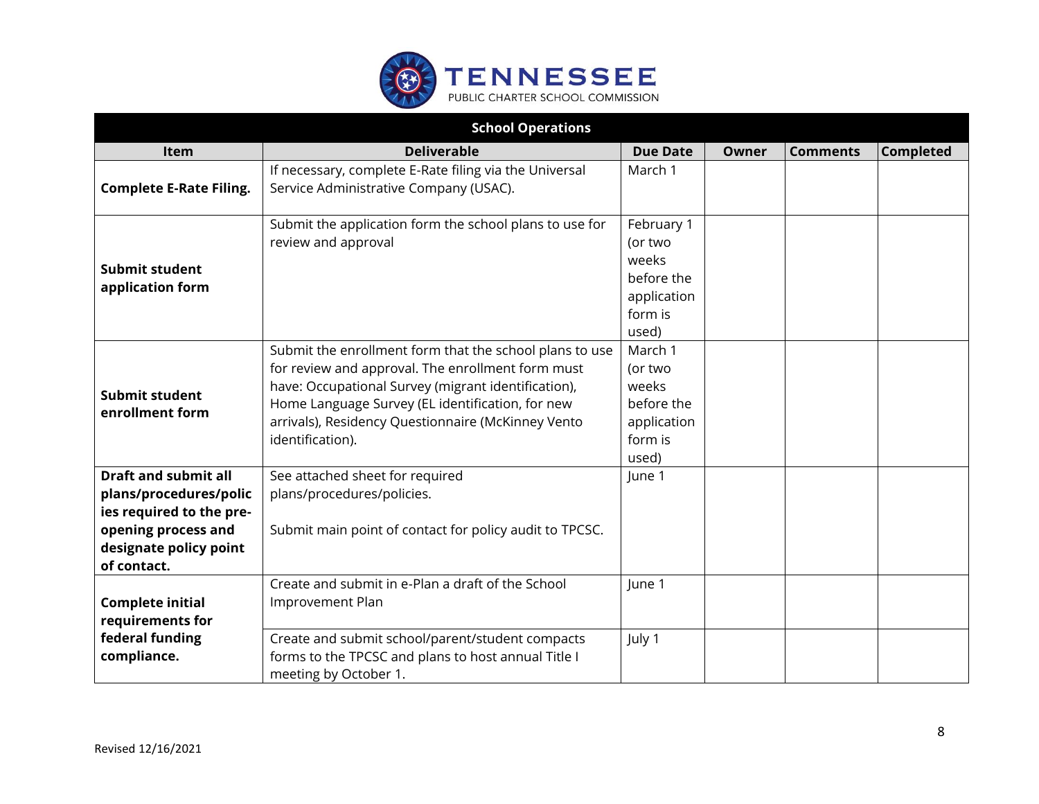

| <b>School Operations</b>                                                                                                                          |                                                                                                                                                                                                                                                                                                   |                                                                                 |              |                 |                  |  |
|---------------------------------------------------------------------------------------------------------------------------------------------------|---------------------------------------------------------------------------------------------------------------------------------------------------------------------------------------------------------------------------------------------------------------------------------------------------|---------------------------------------------------------------------------------|--------------|-----------------|------------------|--|
| Item                                                                                                                                              | <b>Deliverable</b>                                                                                                                                                                                                                                                                                | <b>Due Date</b>                                                                 | <b>Owner</b> | <b>Comments</b> | <b>Completed</b> |  |
| <b>Complete E-Rate Filing.</b>                                                                                                                    | If necessary, complete E-Rate filing via the Universal<br>Service Administrative Company (USAC).                                                                                                                                                                                                  | March 1                                                                         |              |                 |                  |  |
| Submit student<br>application form                                                                                                                | Submit the application form the school plans to use for<br>review and approval                                                                                                                                                                                                                    | February 1<br>(or two<br>weeks<br>before the<br>application<br>form is<br>used) |              |                 |                  |  |
| Submit student<br>enrollment form                                                                                                                 | Submit the enrollment form that the school plans to use<br>for review and approval. The enrollment form must<br>have: Occupational Survey (migrant identification),<br>Home Language Survey (EL identification, for new<br>arrivals), Residency Questionnaire (McKinney Vento<br>identification). | March 1<br>(or two<br>weeks<br>before the<br>application<br>form is<br>used)    |              |                 |                  |  |
| <b>Draft and submit all</b><br>plans/procedures/polic<br>ies required to the pre-<br>opening process and<br>designate policy point<br>of contact. | See attached sheet for required<br>plans/procedures/policies.<br>Submit main point of contact for policy audit to TPCSC.                                                                                                                                                                          | June 1                                                                          |              |                 |                  |  |
| <b>Complete initial</b><br>requirements for                                                                                                       | Create and submit in e-Plan a draft of the School<br>Improvement Plan                                                                                                                                                                                                                             | June 1                                                                          |              |                 |                  |  |
| federal funding<br>compliance.                                                                                                                    | Create and submit school/parent/student compacts<br>forms to the TPCSC and plans to host annual Title I<br>meeting by October 1.                                                                                                                                                                  | July 1                                                                          |              |                 |                  |  |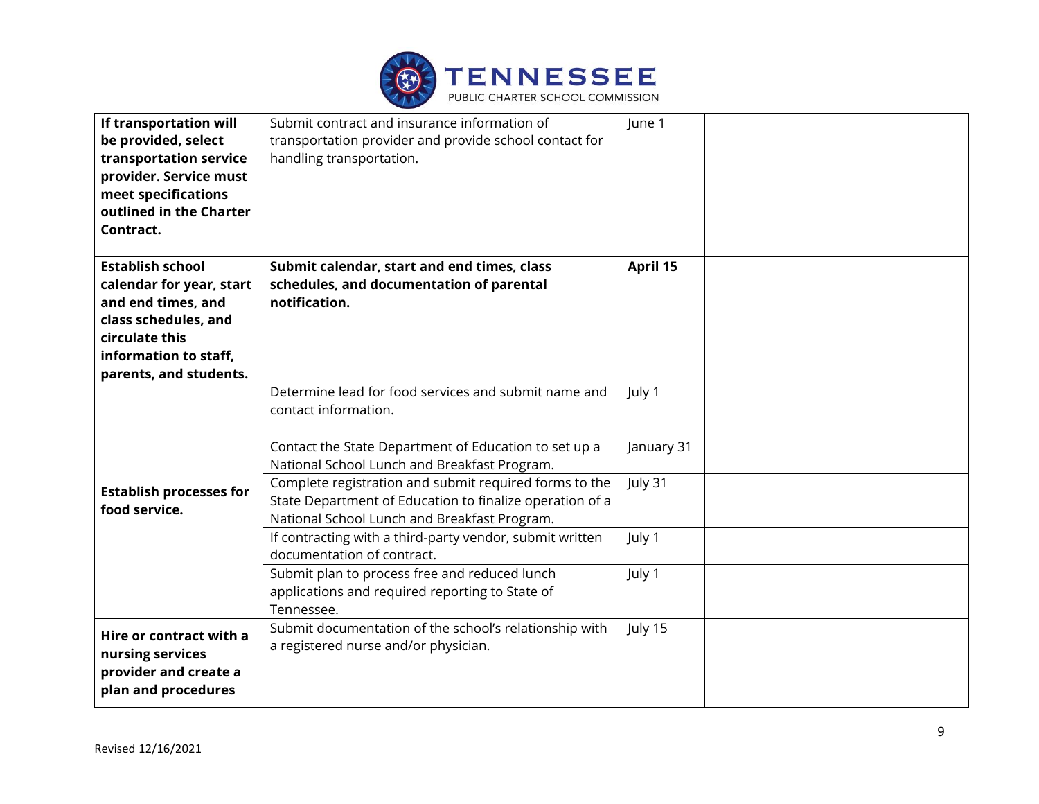

| If transportation will<br>be provided, select<br>transportation service<br>provider. Service must<br>meet specifications<br>outlined in the Charter<br>Contract.       | Submit contract and insurance information of<br>transportation provider and provide school contact for<br>handling transportation.                                                                                                                                                                                                                                                                                                                                                                                                                                      | June 1                                              |
|------------------------------------------------------------------------------------------------------------------------------------------------------------------------|-------------------------------------------------------------------------------------------------------------------------------------------------------------------------------------------------------------------------------------------------------------------------------------------------------------------------------------------------------------------------------------------------------------------------------------------------------------------------------------------------------------------------------------------------------------------------|-----------------------------------------------------|
| <b>Establish school</b><br>calendar for year, start<br>and end times, and<br>class schedules, and<br>circulate this<br>information to staff,<br>parents, and students. | Submit calendar, start and end times, class<br>schedules, and documentation of parental<br>notification.                                                                                                                                                                                                                                                                                                                                                                                                                                                                | April 15                                            |
| <b>Establish processes for</b><br>food service.                                                                                                                        | Determine lead for food services and submit name and<br>contact information.<br>Contact the State Department of Education to set up a<br>National School Lunch and Breakfast Program.<br>Complete registration and submit required forms to the<br>State Department of Education to finalize operation of a<br>National School Lunch and Breakfast Program.<br>If contracting with a third-party vendor, submit written<br>documentation of contract.<br>Submit plan to process free and reduced lunch<br>applications and required reporting to State of<br>Tennessee. | July 1<br>January 31<br>July 31<br>July 1<br>July 1 |
| Hire or contract with a<br>nursing services<br>provider and create a<br>plan and procedures                                                                            | Submit documentation of the school's relationship with<br>a registered nurse and/or physician.                                                                                                                                                                                                                                                                                                                                                                                                                                                                          | July 15                                             |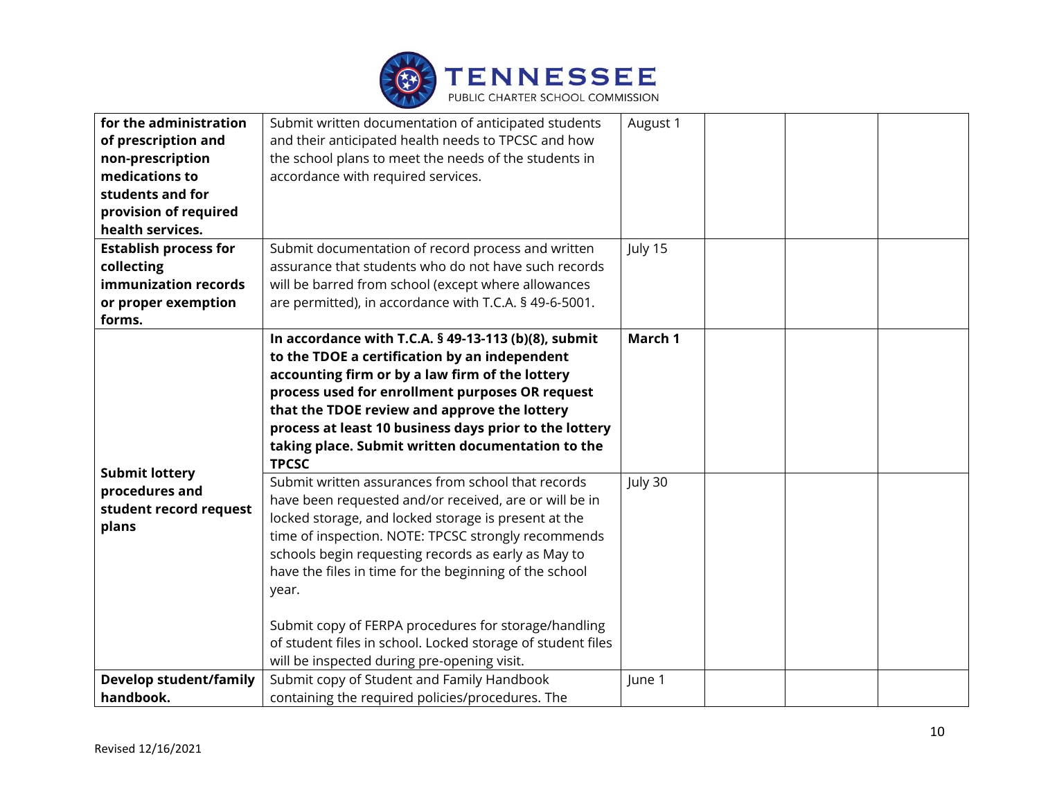

| for the administration                                                     | Submit written documentation of anticipated students                                                                                                                                                                                                                                                                                                                                                                                                                         | August 1 |
|----------------------------------------------------------------------------|------------------------------------------------------------------------------------------------------------------------------------------------------------------------------------------------------------------------------------------------------------------------------------------------------------------------------------------------------------------------------------------------------------------------------------------------------------------------------|----------|
| of prescription and                                                        | and their anticipated health needs to TPCSC and how                                                                                                                                                                                                                                                                                                                                                                                                                          |          |
| non-prescription                                                           | the school plans to meet the needs of the students in                                                                                                                                                                                                                                                                                                                                                                                                                        |          |
| medications to                                                             | accordance with required services.                                                                                                                                                                                                                                                                                                                                                                                                                                           |          |
| students and for                                                           |                                                                                                                                                                                                                                                                                                                                                                                                                                                                              |          |
| provision of required                                                      |                                                                                                                                                                                                                                                                                                                                                                                                                                                                              |          |
| health services.                                                           |                                                                                                                                                                                                                                                                                                                                                                                                                                                                              |          |
| <b>Establish process for</b>                                               | Submit documentation of record process and written                                                                                                                                                                                                                                                                                                                                                                                                                           | July 15  |
| collecting                                                                 | assurance that students who do not have such records                                                                                                                                                                                                                                                                                                                                                                                                                         |          |
| immunization records                                                       | will be barred from school (except where allowances                                                                                                                                                                                                                                                                                                                                                                                                                          |          |
| or proper exemption                                                        | are permitted), in accordance with T.C.A. § 49-6-5001.                                                                                                                                                                                                                                                                                                                                                                                                                       |          |
| forms.                                                                     |                                                                                                                                                                                                                                                                                                                                                                                                                                                                              |          |
|                                                                            | In accordance with T.C.A. § 49-13-113 (b)(8), submit<br>to the TDOE a certification by an independent<br>accounting firm or by a law firm of the lottery<br>process used for enrollment purposes OR request<br>that the TDOE review and approve the lottery<br>process at least 10 business days prior to the lottery<br>taking place. Submit written documentation to the<br><b>TPCSC</b>                                                                                   | March 1  |
| <b>Submit lottery</b><br>procedures and<br>student record request<br>plans | Submit written assurances from school that records<br>have been requested and/or received, are or will be in<br>locked storage, and locked storage is present at the<br>time of inspection. NOTE: TPCSC strongly recommends<br>schools begin requesting records as early as May to<br>have the files in time for the beginning of the school<br>year.<br>Submit copy of FERPA procedures for storage/handling<br>of student files in school. Locked storage of student files | July 30  |
|                                                                            | will be inspected during pre-opening visit.                                                                                                                                                                                                                                                                                                                                                                                                                                  |          |
| <b>Develop student/family</b>                                              | Submit copy of Student and Family Handbook                                                                                                                                                                                                                                                                                                                                                                                                                                   | June 1   |
| handbook.                                                                  | containing the required policies/procedures. The                                                                                                                                                                                                                                                                                                                                                                                                                             |          |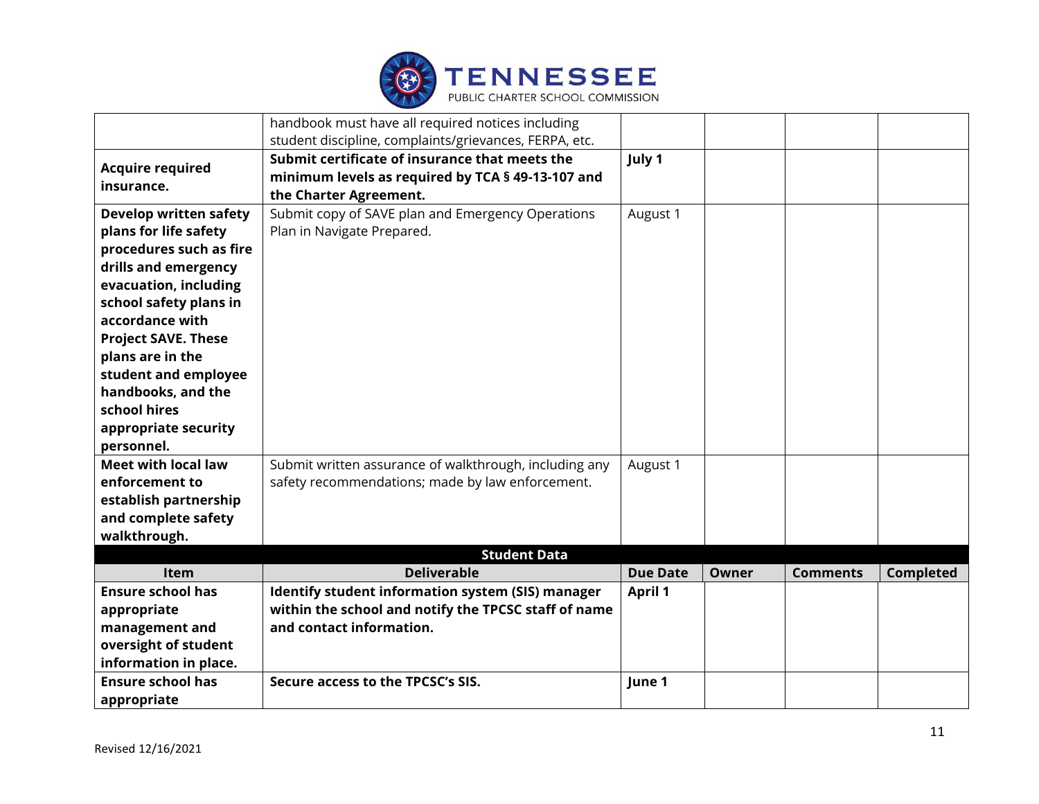

|                               | handbook must have all required notices including      |                 |              |                 |           |
|-------------------------------|--------------------------------------------------------|-----------------|--------------|-----------------|-----------|
|                               | student discipline, complaints/grievances, FERPA, etc. |                 |              |                 |           |
| <b>Acquire required</b>       | Submit certificate of insurance that meets the         | July 1          |              |                 |           |
| insurance.                    | minimum levels as required by TCA § 49-13-107 and      |                 |              |                 |           |
|                               | the Charter Agreement.                                 |                 |              |                 |           |
| <b>Develop written safety</b> | Submit copy of SAVE plan and Emergency Operations      | August 1        |              |                 |           |
| plans for life safety         | Plan in Navigate Prepared.                             |                 |              |                 |           |
| procedures such as fire       |                                                        |                 |              |                 |           |
| drills and emergency          |                                                        |                 |              |                 |           |
| evacuation, including         |                                                        |                 |              |                 |           |
| school safety plans in        |                                                        |                 |              |                 |           |
| accordance with               |                                                        |                 |              |                 |           |
| <b>Project SAVE. These</b>    |                                                        |                 |              |                 |           |
| plans are in the              |                                                        |                 |              |                 |           |
| student and employee          |                                                        |                 |              |                 |           |
| handbooks, and the            |                                                        |                 |              |                 |           |
| school hires                  |                                                        |                 |              |                 |           |
| appropriate security          |                                                        |                 |              |                 |           |
| personnel.                    |                                                        |                 |              |                 |           |
| <b>Meet with local law</b>    | Submit written assurance of walkthrough, including any | August 1        |              |                 |           |
| enforcement to                | safety recommendations; made by law enforcement.       |                 |              |                 |           |
| establish partnership         |                                                        |                 |              |                 |           |
| and complete safety           |                                                        |                 |              |                 |           |
| walkthrough.                  |                                                        |                 |              |                 |           |
|                               | <b>Student Data</b>                                    |                 |              |                 |           |
| Item                          | <b>Deliverable</b>                                     | <b>Due Date</b> | <b>Owner</b> | <b>Comments</b> | Completed |
| <b>Ensure school has</b>      | Identify student information system (SIS) manager      | <b>April 1</b>  |              |                 |           |
| appropriate                   | within the school and notify the TPCSC staff of name   |                 |              |                 |           |
| management and                | and contact information.                               |                 |              |                 |           |
| oversight of student          |                                                        |                 |              |                 |           |
| information in place.         |                                                        |                 |              |                 |           |
| <b>Ensure school has</b>      | Secure access to the TPCSC's SIS.                      | June 1          |              |                 |           |
| appropriate                   |                                                        |                 |              |                 |           |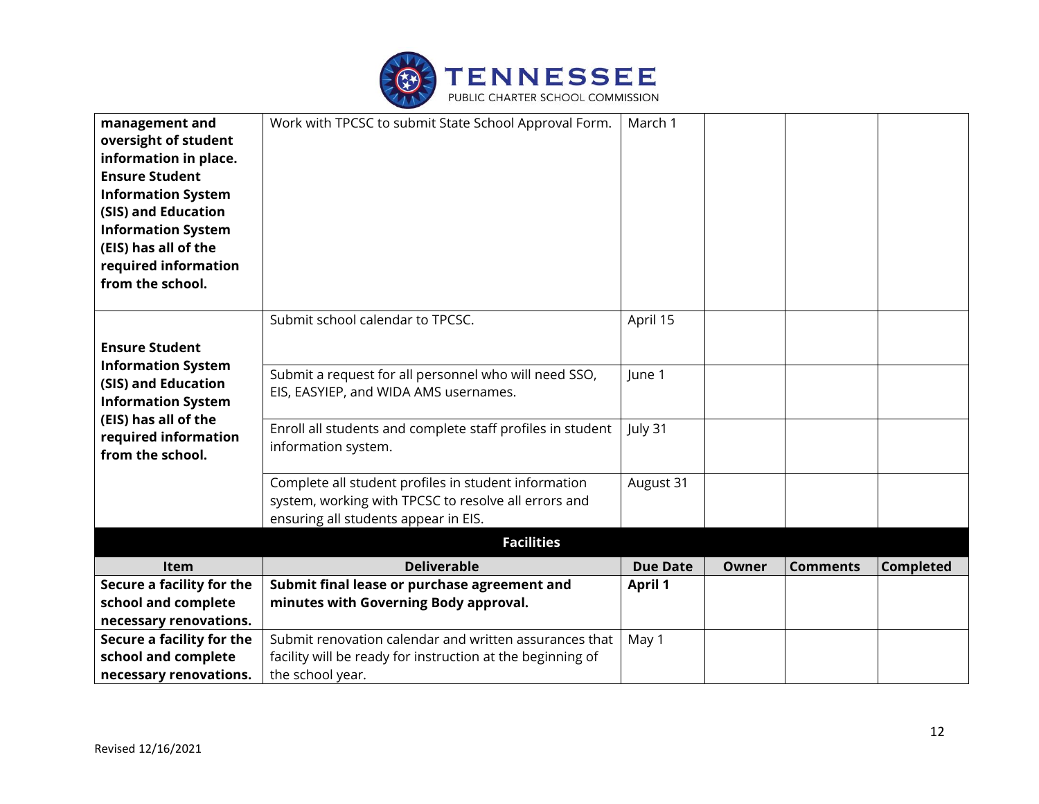

| management and<br>oversight of student<br>information in place.<br><b>Ensure Student</b><br><b>Information System</b><br>(SIS) and Education<br><b>Information System</b><br>(EIS) has all of the<br>required information<br>from the school. | Work with TPCSC to submit State School Approval Form.                                                                                                | March 1         |              |                 |                  |
|-----------------------------------------------------------------------------------------------------------------------------------------------------------------------------------------------------------------------------------------------|------------------------------------------------------------------------------------------------------------------------------------------------------|-----------------|--------------|-----------------|------------------|
| <b>Ensure Student</b>                                                                                                                                                                                                                         | Submit school calendar to TPCSC.                                                                                                                     | April 15        |              |                 |                  |
| <b>Information System</b><br>(SIS) and Education<br><b>Information System</b>                                                                                                                                                                 | Submit a request for all personnel who will need SSO,<br>EIS, EASYIEP, and WIDA AMS usernames.                                                       | June 1          |              |                 |                  |
| (EIS) has all of the<br>required information<br>from the school.                                                                                                                                                                              | Enroll all students and complete staff profiles in student<br>information system.                                                                    | July 31         |              |                 |                  |
|                                                                                                                                                                                                                                               | Complete all student profiles in student information<br>system, working with TPCSC to resolve all errors and<br>ensuring all students appear in EIS. | August 31       |              |                 |                  |
|                                                                                                                                                                                                                                               | <b>Facilities</b>                                                                                                                                    |                 |              |                 |                  |
| Item                                                                                                                                                                                                                                          | <b>Deliverable</b>                                                                                                                                   | <b>Due Date</b> | <b>Owner</b> | <b>Comments</b> | <b>Completed</b> |
| Secure a facility for the                                                                                                                                                                                                                     | Submit final lease or purchase agreement and                                                                                                         | <b>April 1</b>  |              |                 |                  |
| school and complete                                                                                                                                                                                                                           | minutes with Governing Body approval.                                                                                                                |                 |              |                 |                  |
| necessary renovations.                                                                                                                                                                                                                        |                                                                                                                                                      |                 |              |                 |                  |
| Secure a facility for the<br>school and complete                                                                                                                                                                                              | Submit renovation calendar and written assurances that                                                                                               | May 1           |              |                 |                  |
| necessary renovations.                                                                                                                                                                                                                        | facility will be ready for instruction at the beginning of<br>the school year.                                                                       |                 |              |                 |                  |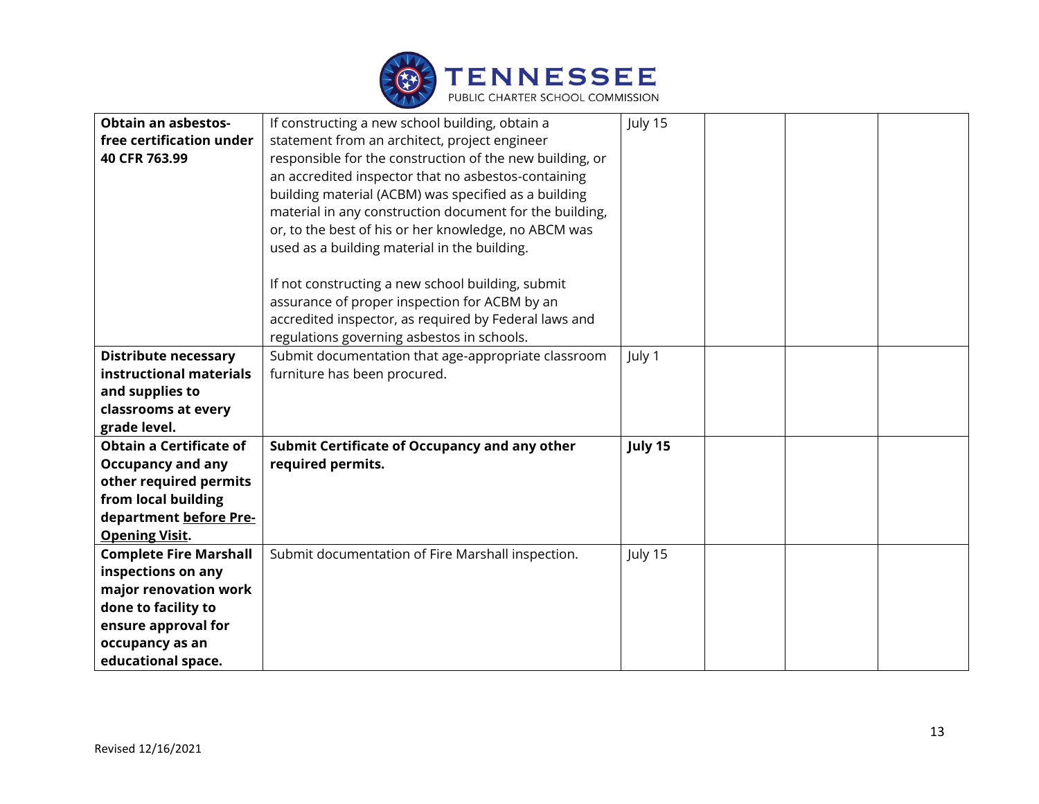

| <b>Obtain an asbestos-</b>     | If constructing a new school building, obtain a          | July 15 |
|--------------------------------|----------------------------------------------------------|---------|
| free certification under       | statement from an architect, project engineer            |         |
| 40 CFR 763.99                  |                                                          |         |
|                                | responsible for the construction of the new building, or |         |
|                                | an accredited inspector that no asbestos-containing      |         |
|                                | building material (ACBM) was specified as a building     |         |
|                                | material in any construction document for the building,  |         |
|                                | or, to the best of his or her knowledge, no ABCM was     |         |
|                                | used as a building material in the building.             |         |
|                                | If not constructing a new school building, submit        |         |
|                                | assurance of proper inspection for ACBM by an            |         |
|                                | accredited inspector, as required by Federal laws and    |         |
|                                | regulations governing asbestos in schools.               |         |
| <b>Distribute necessary</b>    | Submit documentation that age-appropriate classroom      | July 1  |
| instructional materials        | furniture has been procured.                             |         |
| and supplies to                |                                                          |         |
| classrooms at every            |                                                          |         |
| grade level.                   |                                                          |         |
| <b>Obtain a Certificate of</b> | Submit Certificate of Occupancy and any other            | July 15 |
| <b>Occupancy and any</b>       | required permits.                                        |         |
| other required permits         |                                                          |         |
| from local building            |                                                          |         |
| department before Pre-         |                                                          |         |
| <b>Opening Visit.</b>          |                                                          |         |
| <b>Complete Fire Marshall</b>  | Submit documentation of Fire Marshall inspection.        | July 15 |
| inspections on any             |                                                          |         |
| major renovation work          |                                                          |         |
| done to facility to            |                                                          |         |
| ensure approval for            |                                                          |         |
| occupancy as an                |                                                          |         |
| educational space.             |                                                          |         |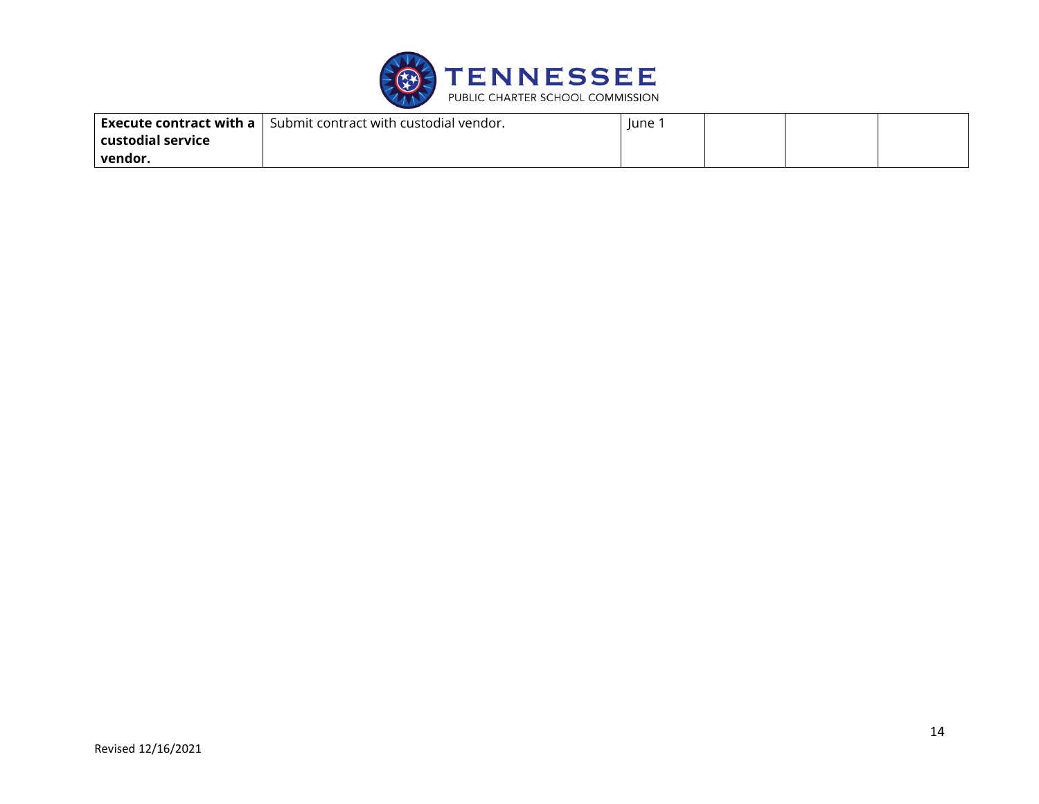

| Execute contract with a $\vert$ | Submit contract with custodial vendor. | lune |  |  |
|---------------------------------|----------------------------------------|------|--|--|
| custodial service               |                                        |      |  |  |
| vendor.                         |                                        |      |  |  |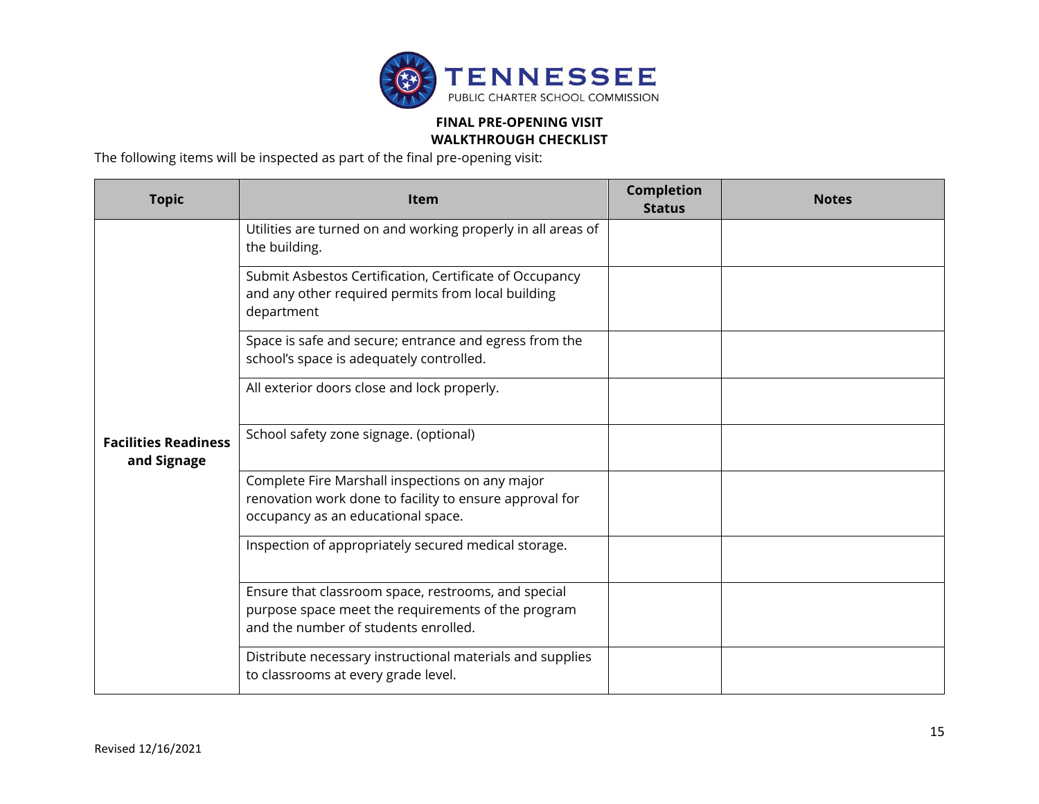

## **FINAL PRE-OPENING VISIT**

**WALKTHROUGH CHECKLIST**

The following items will be inspected as part of the final pre-opening visit:

| <b>Topic</b>                               | <b>Item</b>                                                                                                                                       | <b>Completion</b><br><b>Status</b> | <b>Notes</b> |
|--------------------------------------------|---------------------------------------------------------------------------------------------------------------------------------------------------|------------------------------------|--------------|
|                                            | Utilities are turned on and working properly in all areas of<br>the building.                                                                     |                                    |              |
|                                            | Submit Asbestos Certification, Certificate of Occupancy<br>and any other required permits from local building<br>department                       |                                    |              |
|                                            | Space is safe and secure; entrance and egress from the<br>school's space is adequately controlled.                                                |                                    |              |
|                                            | All exterior doors close and lock properly.                                                                                                       |                                    |              |
| <b>Facilities Readiness</b><br>and Signage | School safety zone signage. (optional)                                                                                                            |                                    |              |
|                                            | Complete Fire Marshall inspections on any major<br>renovation work done to facility to ensure approval for<br>occupancy as an educational space.  |                                    |              |
|                                            | Inspection of appropriately secured medical storage.                                                                                              |                                    |              |
|                                            | Ensure that classroom space, restrooms, and special<br>purpose space meet the requirements of the program<br>and the number of students enrolled. |                                    |              |
|                                            | Distribute necessary instructional materials and supplies<br>to classrooms at every grade level.                                                  |                                    |              |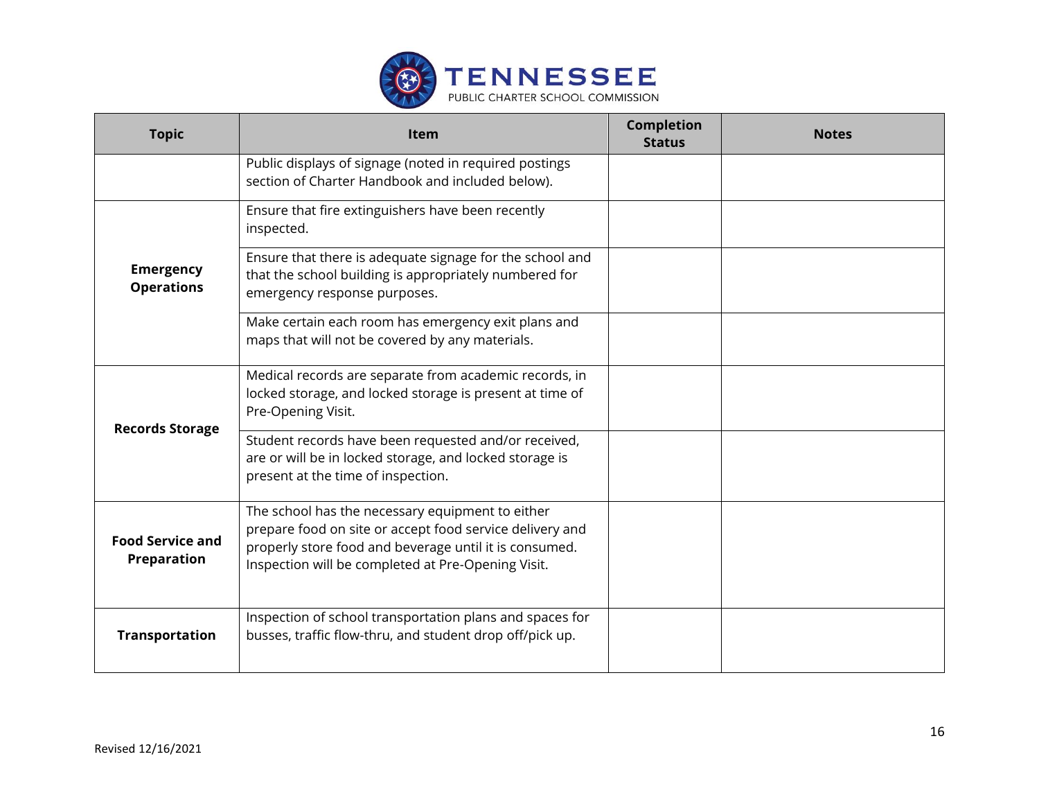

| <b>Topic</b>                                  | Item                                                                                                                                                                                                                         | <b>Completion</b><br><b>Status</b> | <b>Notes</b> |
|-----------------------------------------------|------------------------------------------------------------------------------------------------------------------------------------------------------------------------------------------------------------------------------|------------------------------------|--------------|
|                                               | Public displays of signage (noted in required postings<br>section of Charter Handbook and included below).                                                                                                                   |                                    |              |
| <b>Emergency</b><br><b>Operations</b>         | Ensure that fire extinguishers have been recently<br>inspected.                                                                                                                                                              |                                    |              |
|                                               | Ensure that there is adequate signage for the school and<br>that the school building is appropriately numbered for<br>emergency response purposes.                                                                           |                                    |              |
|                                               | Make certain each room has emergency exit plans and<br>maps that will not be covered by any materials.                                                                                                                       |                                    |              |
| <b>Records Storage</b>                        | Medical records are separate from academic records, in<br>locked storage, and locked storage is present at time of<br>Pre-Opening Visit.                                                                                     |                                    |              |
|                                               | Student records have been requested and/or received,<br>are or will be in locked storage, and locked storage is<br>present at the time of inspection.                                                                        |                                    |              |
| <b>Food Service and</b><br><b>Preparation</b> | The school has the necessary equipment to either<br>prepare food on site or accept food service delivery and<br>properly store food and beverage until it is consumed.<br>Inspection will be completed at Pre-Opening Visit. |                                    |              |
| <b>Transportation</b>                         | Inspection of school transportation plans and spaces for<br>busses, traffic flow-thru, and student drop off/pick up.                                                                                                         |                                    |              |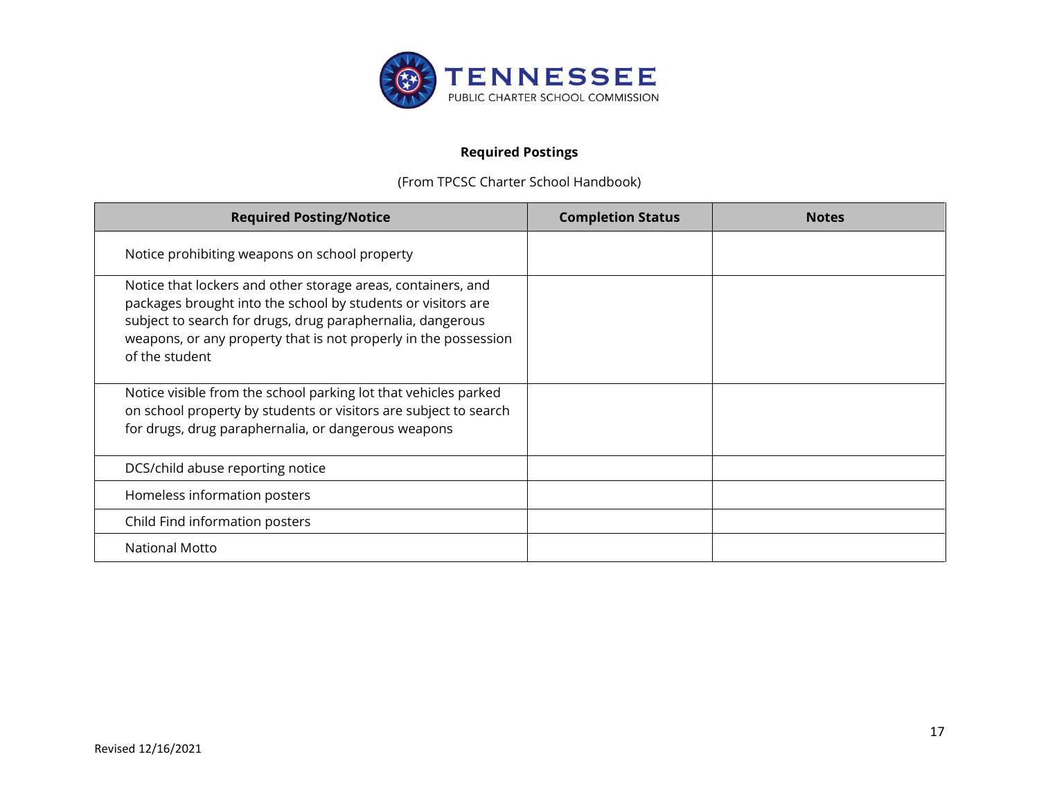

### **Required Postings**

(From TPCSC Charter School Handbook)

| <b>Required Posting/Notice</b>                                                                                                                                                                                                                                                  | <b>Completion Status</b> | <b>Notes</b> |
|---------------------------------------------------------------------------------------------------------------------------------------------------------------------------------------------------------------------------------------------------------------------------------|--------------------------|--------------|
| Notice prohibiting weapons on school property                                                                                                                                                                                                                                   |                          |              |
| Notice that lockers and other storage areas, containers, and<br>packages brought into the school by students or visitors are<br>subject to search for drugs, drug paraphernalia, dangerous<br>weapons, or any property that is not properly in the possession<br>of the student |                          |              |
| Notice visible from the school parking lot that vehicles parked<br>on school property by students or visitors are subject to search<br>for drugs, drug paraphernalia, or dangerous weapons                                                                                      |                          |              |
| DCS/child abuse reporting notice                                                                                                                                                                                                                                                |                          |              |
| Homeless information posters                                                                                                                                                                                                                                                    |                          |              |
| Child Find information posters                                                                                                                                                                                                                                                  |                          |              |
| <b>National Motto</b>                                                                                                                                                                                                                                                           |                          |              |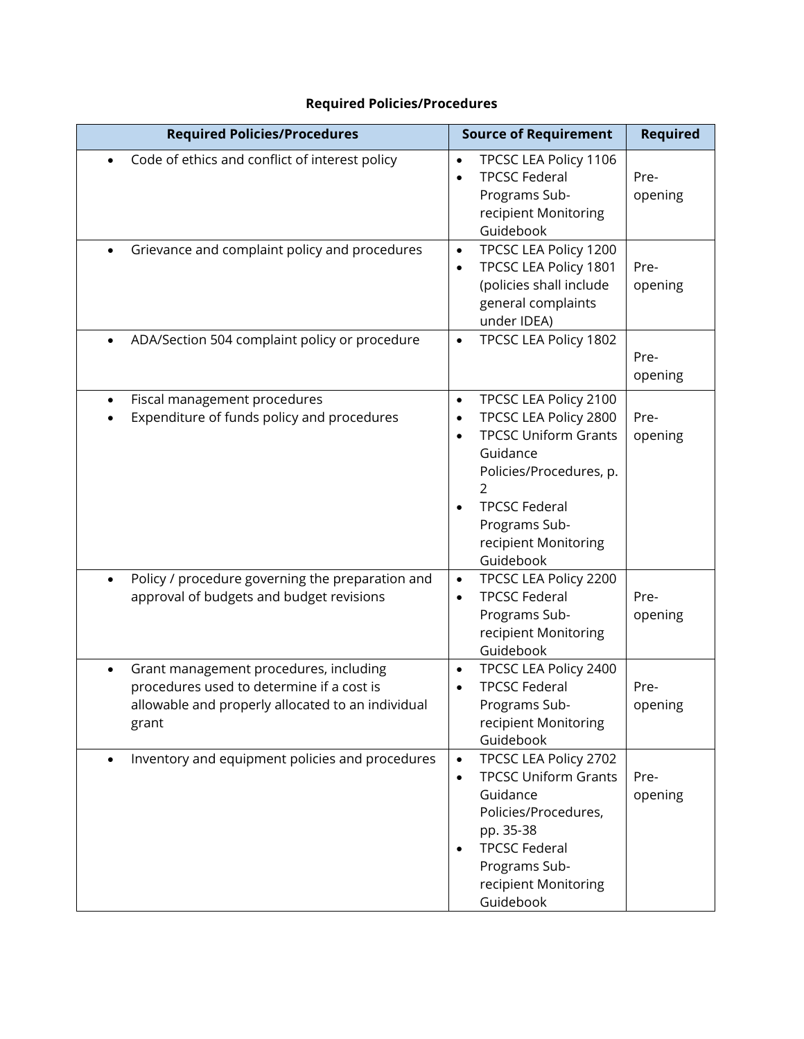## **Required Policies/Procedures**

| <b>Required Policies/Procedures</b>                                                                                                                            | <b>Source of Requirement</b>                                                                                                                                                                                                 | <b>Required</b> |
|----------------------------------------------------------------------------------------------------------------------------------------------------------------|------------------------------------------------------------------------------------------------------------------------------------------------------------------------------------------------------------------------------|-----------------|
| Code of ethics and conflict of interest policy                                                                                                                 | TPCSC LEA Policy 1106<br>$\bullet$<br><b>TPCSC Federal</b><br>$\bullet$<br>Programs Sub-<br>recipient Monitoring<br>Guidebook                                                                                                | Pre-<br>opening |
| Grievance and complaint policy and procedures<br>$\bullet$                                                                                                     | TPCSC LEA Policy 1200<br>$\bullet$<br>TPCSC LEA Policy 1801<br>٠<br>(policies shall include<br>general complaints<br>under IDEA)                                                                                             | Pre-<br>opening |
| ADA/Section 504 complaint policy or procedure                                                                                                                  | TPCSC LEA Policy 1802<br>$\bullet$                                                                                                                                                                                           | Pre-<br>opening |
| Fiscal management procedures<br>$\bullet$<br>Expenditure of funds policy and procedures                                                                        | TPCSC LEA Policy 2100<br>$\bullet$<br>TPCSC LEA Policy 2800<br>$\bullet$<br><b>TPCSC Uniform Grants</b><br>$\bullet$<br>Guidance<br>Policies/Procedures, p.<br><b>TPCSC Federal</b><br>Programs Sub-<br>recipient Monitoring | Pre-<br>opening |
| Policy / procedure governing the preparation and<br>$\bullet$<br>approval of budgets and budget revisions                                                      | Guidebook<br>TPCSC LEA Policy 2200<br>$\bullet$<br><b>TPCSC Federal</b><br>$\bullet$<br>Programs Sub-<br>recipient Monitoring<br>Guidebook                                                                                   | Pre-<br>opening |
| Grant management procedures, including<br>$\bullet$<br>procedures used to determine if a cost is<br>allowable and properly allocated to an individual<br>grant | TPCSC LEA Policy 2400<br>$\bullet$<br><b>TPCSC Federal</b><br>Programs Sub-<br>recipient Monitoring<br>Guidebook                                                                                                             | Pre-<br>opening |
| Inventory and equipment policies and procedures<br>$\bullet$                                                                                                   | TPCSC LEA Policy 2702<br>$\bullet$<br><b>TPCSC Uniform Grants</b><br>$\bullet$<br>Guidance<br>Policies/Procedures,<br>pp. 35-38<br><b>TPCSC Federal</b><br>$\bullet$<br>Programs Sub-<br>recipient Monitoring<br>Guidebook   | Pre-<br>opening |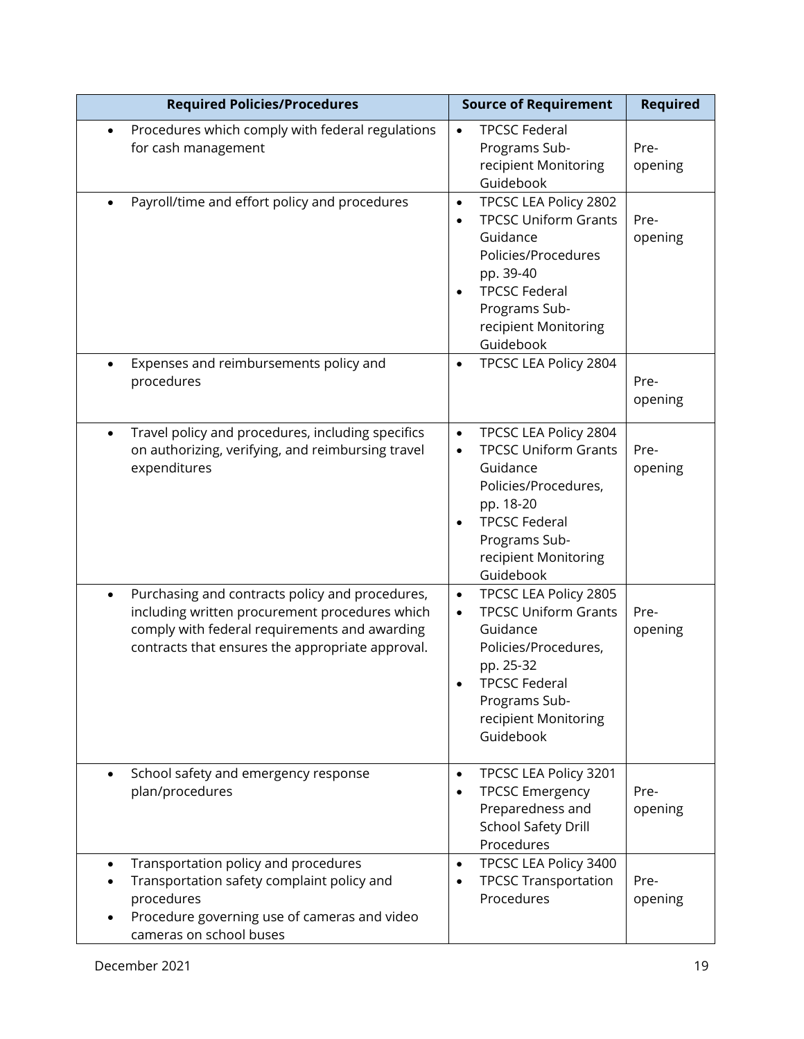| <b>Required Policies/Procedures</b>                                                                                                                                                                                 | <b>Source of Requirement</b>                                                                                                                                                                                               |                 |
|---------------------------------------------------------------------------------------------------------------------------------------------------------------------------------------------------------------------|----------------------------------------------------------------------------------------------------------------------------------------------------------------------------------------------------------------------------|-----------------|
| Procedures which comply with federal regulations<br>$\bullet$<br>for cash management                                                                                                                                | <b>TPCSC Federal</b><br>$\bullet$<br>Programs Sub-<br>recipient Monitoring<br>Guidebook                                                                                                                                    | Pre-<br>opening |
| Payroll/time and effort policy and procedures                                                                                                                                                                       | TPCSC LEA Policy 2802<br>$\bullet$<br><b>TPCSC Uniform Grants</b><br>$\bullet$<br>Guidance<br>Policies/Procedures<br>pp. 39-40<br><b>TPCSC Federal</b><br>$\bullet$<br>Programs Sub-<br>recipient Monitoring<br>Guidebook  | Pre-<br>opening |
| Expenses and reimbursements policy and<br>$\bullet$<br>procedures                                                                                                                                                   | TPCSC LEA Policy 2804<br>$\bullet$                                                                                                                                                                                         | Pre-<br>opening |
| Travel policy and procedures, including specifics<br>$\bullet$<br>on authorizing, verifying, and reimbursing travel<br>expenditures                                                                                 | TPCSC LEA Policy 2804<br>$\bullet$<br><b>TPCSC Uniform Grants</b><br>$\bullet$<br>Guidance<br>Policies/Procedures,<br>pp. 18-20<br><b>TPCSC Federal</b><br>$\bullet$<br>Programs Sub-<br>recipient Monitoring<br>Guidebook | Pre-<br>opening |
| Purchasing and contracts policy and procedures,<br>$\bullet$<br>including written procurement procedures which<br>comply with federal requirements and awarding<br>contracts that ensures the appropriate approval. | TPCSC LEA Policy 2805<br>$\bullet$<br><b>TPCSC Uniform Grants</b><br>$\bullet$<br>Guidance<br>Policies/Procedures,<br>pp. 25-32<br><b>TPCSC Federal</b><br>Programs Sub-<br>recipient Monitoring<br>Guidebook              | Pre-<br>opening |
| School safety and emergency response<br>$\bullet$<br>plan/procedures                                                                                                                                                | TPCSC LEA Policy 3201<br>$\bullet$<br><b>TPCSC Emergency</b><br>$\bullet$<br>Preparedness and<br><b>School Safety Drill</b><br>Procedures                                                                                  | Pre-<br>opening |
| Transportation policy and procedures<br>$\bullet$<br>Transportation safety complaint policy and<br>procedures<br>Procedure governing use of cameras and video<br>cameras on school buses                            | TPCSC LEA Policy 3400<br>$\bullet$<br><b>TPCSC Transportation</b><br>٠<br>Procedures                                                                                                                                       | Pre-<br>opening |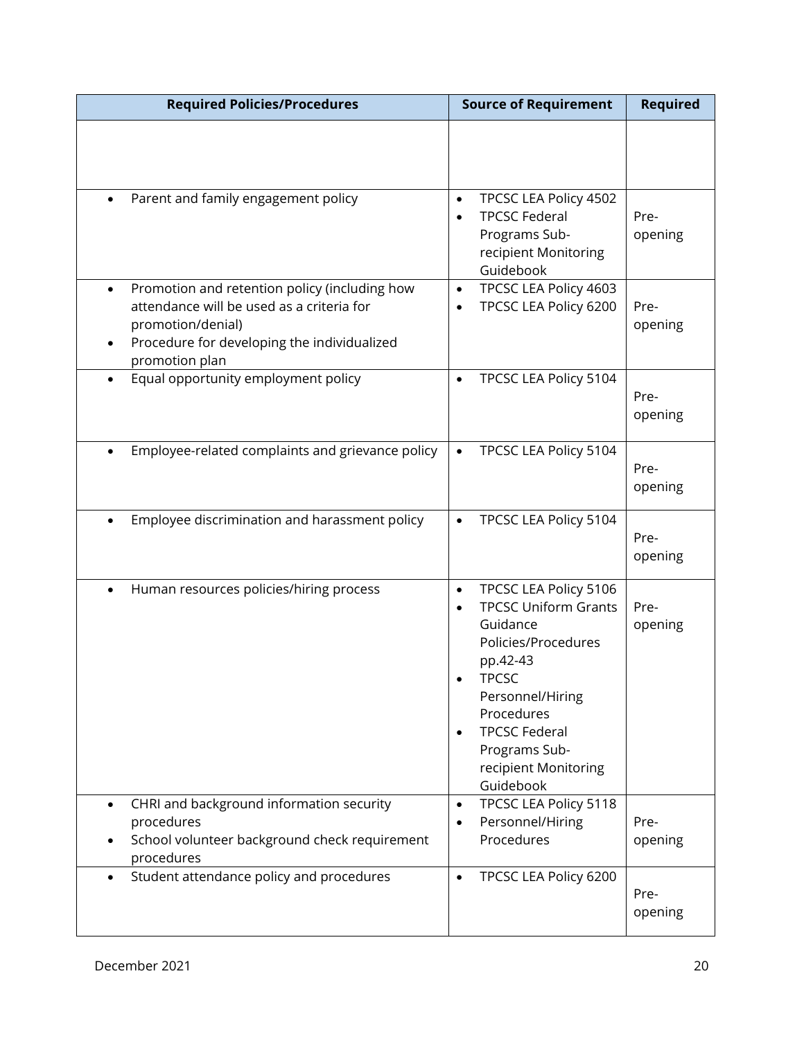| <b>Required Policies/Procedures</b>                                                                                                                                                           | <b>Source of Requirement</b>                                                                                                                                                                                                                                                                                     | <b>Required</b> |
|-----------------------------------------------------------------------------------------------------------------------------------------------------------------------------------------------|------------------------------------------------------------------------------------------------------------------------------------------------------------------------------------------------------------------------------------------------------------------------------------------------------------------|-----------------|
|                                                                                                                                                                                               |                                                                                                                                                                                                                                                                                                                  |                 |
| Parent and family engagement policy                                                                                                                                                           | TPCSC LEA Policy 4502<br>$\bullet$<br><b>TPCSC Federal</b><br>$\bullet$<br>Programs Sub-<br>recipient Monitoring<br>Guidebook                                                                                                                                                                                    | Pre-<br>opening |
| Promotion and retention policy (including how<br>$\bullet$<br>attendance will be used as a criteria for<br>promotion/denial)<br>Procedure for developing the individualized<br>promotion plan | TPCSC LEA Policy 4603<br>$\bullet$<br>TPCSC LEA Policy 6200                                                                                                                                                                                                                                                      | Pre-<br>opening |
| Equal opportunity employment policy<br>$\bullet$                                                                                                                                              | TPCSC LEA Policy 5104<br>$\bullet$                                                                                                                                                                                                                                                                               | Pre-<br>opening |
| Employee-related complaints and grievance policy                                                                                                                                              | TPCSC LEA Policy 5104<br>$\bullet$                                                                                                                                                                                                                                                                               | Pre-<br>opening |
| Employee discrimination and harassment policy<br>$\bullet$                                                                                                                                    | TPCSC LEA Policy 5104<br>$\bullet$                                                                                                                                                                                                                                                                               | Pre-<br>opening |
| Human resources policies/hiring process<br>$\bullet$<br>CHRI and background information security                                                                                              | TPCSC LEA Policy 5106<br>$\bullet$<br><b>TPCSC Uniform Grants</b><br>$\bullet$<br>Guidance<br>Policies/Procedures<br>pp.42-43<br><b>TPCSC</b><br>Personnel/Hiring<br>Procedures<br><b>TPCSC Federal</b><br>$\bullet$<br>Programs Sub-<br>recipient Monitoring<br>Guidebook<br>TPCSC LEA Policy 5118<br>$\bullet$ | Pre-<br>opening |
| procedures<br>School volunteer background check requirement<br>procedures                                                                                                                     | Personnel/Hiring<br>$\bullet$<br>Procedures                                                                                                                                                                                                                                                                      | Pre-<br>opening |
| Student attendance policy and procedures<br>$\bullet$                                                                                                                                         | TPCSC LEA Policy 6200<br>$\bullet$                                                                                                                                                                                                                                                                               | Pre-<br>opening |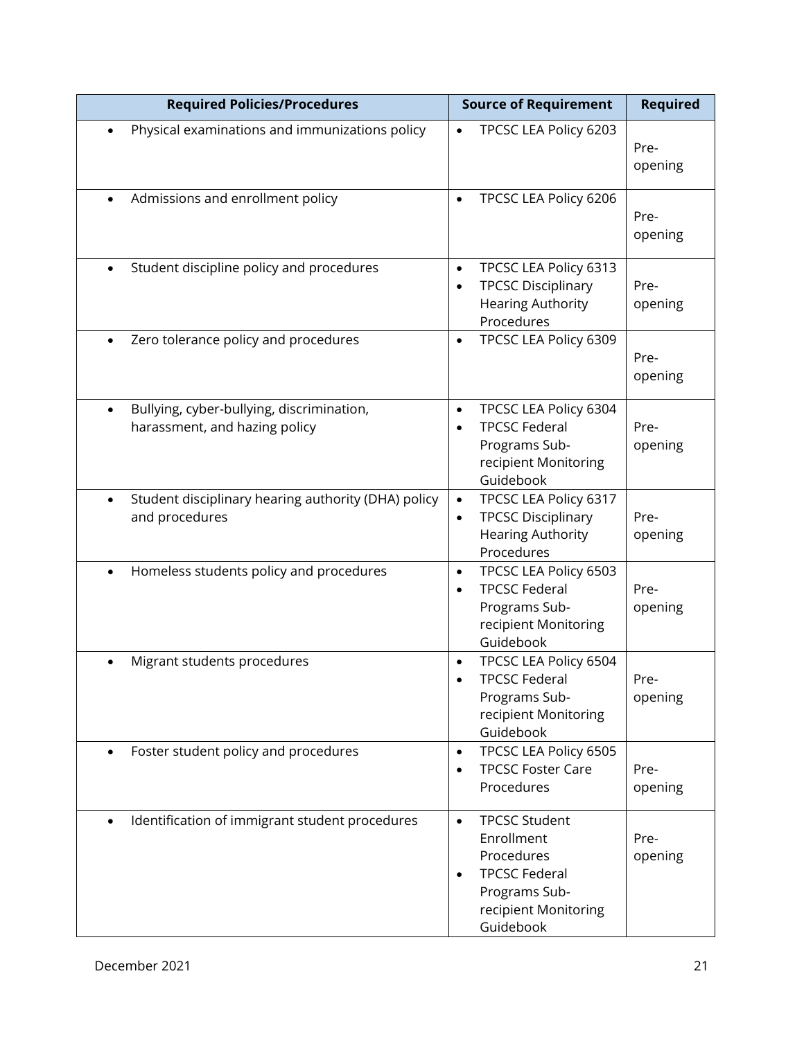| <b>Required Policies/Procedures</b>                                                     | <b>Source of Requirement</b>                                                                                                                             | <b>Required</b> |
|-----------------------------------------------------------------------------------------|----------------------------------------------------------------------------------------------------------------------------------------------------------|-----------------|
| Physical examinations and immunizations policy<br>$\bullet$                             | TPCSC LEA Policy 6203<br>$\bullet$                                                                                                                       | Pre-<br>opening |
| Admissions and enrollment policy<br>$\bullet$                                           | TPCSC LEA Policy 6206<br>$\bullet$                                                                                                                       | Pre-<br>opening |
| Student discipline policy and procedures<br>$\bullet$                                   | TPCSC LEA Policy 6313<br>$\bullet$<br><b>TPCSC Disciplinary</b><br>$\bullet$<br><b>Hearing Authority</b><br>Procedures                                   | Pre-<br>opening |
| Zero tolerance policy and procedures                                                    | TPCSC LEA Policy 6309<br>$\bullet$                                                                                                                       | Pre-<br>opening |
| Bullying, cyber-bullying, discrimination,<br>$\bullet$<br>harassment, and hazing policy | TPCSC LEA Policy 6304<br>$\bullet$<br><b>TPCSC Federal</b><br>$\bullet$<br>Programs Sub-<br>recipient Monitoring<br>Guidebook                            | Pre-<br>opening |
| Student disciplinary hearing authority (DHA) policy<br>$\bullet$<br>and procedures      | TPCSC LEA Policy 6317<br>$\bullet$<br><b>TPCSC Disciplinary</b><br>$\bullet$<br><b>Hearing Authority</b><br>Procedures                                   | Pre-<br>opening |
| Homeless students policy and procedures<br>$\bullet$                                    | TPCSC LEA Policy 6503<br>$\bullet$<br><b>TPCSC Federal</b><br>$\bullet$<br>Programs Sub-<br>recipient Monitoring<br>Guidebook                            | Pre-<br>opening |
| Migrant students procedures<br>$\bullet$                                                | TPCSC LEA Policy 6504<br>$\bullet$<br><b>TPCSC Federal</b><br>Programs Sub-<br>recipient Monitoring<br>Guidebook                                         | Pre-<br>opening |
| Foster student policy and procedures<br>$\bullet$                                       | TPCSC LEA Policy 6505<br>$\bullet$<br><b>TPCSC Foster Care</b><br>$\bullet$<br>Procedures                                                                | Pre-<br>opening |
| Identification of immigrant student procedures<br>$\bullet$                             | <b>TPCSC Student</b><br>$\bullet$<br>Enrollment<br>Procedures<br><b>TPCSC Federal</b><br>$\bullet$<br>Programs Sub-<br>recipient Monitoring<br>Guidebook | Pre-<br>opening |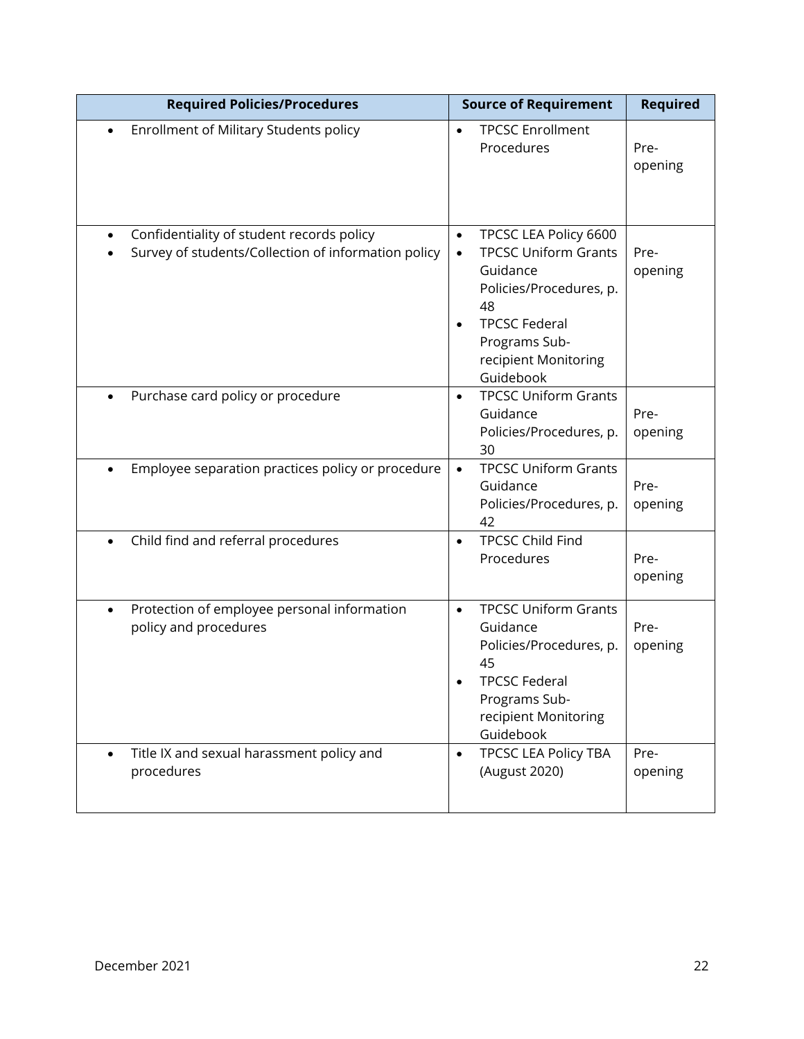| <b>Required Policies/Procedures</b>                                                                           | <b>Source of Requirement</b>                                                                                                                                                                              | <b>Required</b> |
|---------------------------------------------------------------------------------------------------------------|-----------------------------------------------------------------------------------------------------------------------------------------------------------------------------------------------------------|-----------------|
| Enrollment of Military Students policy<br>$\bullet$                                                           | <b>TPCSC Enrollment</b><br>$\bullet$<br>Procedures                                                                                                                                                        | Pre-<br>opening |
| Confidentiality of student records policy<br>$\bullet$<br>Survey of students/Collection of information policy | TPCSC LEA Policy 6600<br>$\bullet$<br><b>TPCSC Uniform Grants</b><br>$\bullet$<br>Guidance<br>Policies/Procedures, p.<br>48<br><b>TPCSC Federal</b><br>Programs Sub-<br>recipient Monitoring<br>Guidebook | Pre-<br>opening |
| Purchase card policy or procedure<br>$\bullet$                                                                | <b>TPCSC Uniform Grants</b><br>$\bullet$<br>Guidance<br>Policies/Procedures, p.<br>30                                                                                                                     | Pre-<br>opening |
| Employee separation practices policy or procedure                                                             | <b>TPCSC Uniform Grants</b><br>$\bullet$<br>Guidance<br>Policies/Procedures, p.<br>42                                                                                                                     | Pre-<br>opening |
| Child find and referral procedures                                                                            | <b>TPCSC Child Find</b><br>$\bullet$<br>Procedures                                                                                                                                                        | Pre-<br>opening |
| Protection of employee personal information<br>$\bullet$<br>policy and procedures                             | <b>TPCSC Uniform Grants</b><br>$\bullet$<br>Guidance<br>Policies/Procedures, p.<br>45<br><b>TPCSC Federal</b><br>Programs Sub-<br>recipient Monitoring<br>Guidebook                                       | Pre-<br>opening |
| Title IX and sexual harassment policy and<br>$\bullet$<br>procedures                                          | <b>TPCSC LEA Policy TBA</b><br>$\bullet$<br>(August 2020)                                                                                                                                                 | Pre-<br>opening |